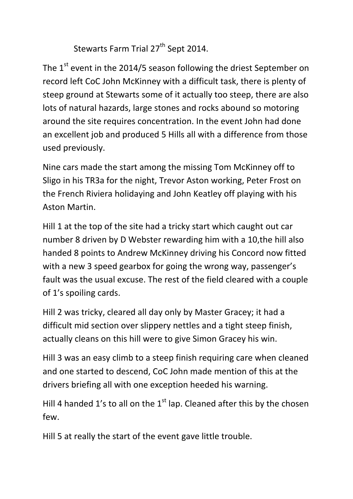Stewarts Farm Trial 27<sup>th</sup> Sept 2014.

The  $1^{st}$  event in the 2014/5 season following the driest September on record left CoC John McKinney with a difficult task, there is plenty of steep ground at Stewarts some of it actually too steep, there are also lots of natural hazards, large stones and rocks abound so motoring around the site requires concentration. In the event John had done an excellent job and produced 5 Hills all with a difference from those used previously.

Nine cars made the start among the missing Tom McKinney off to Sligo in his TR3a for the night, Trevor Aston working, Peter Frost on the French Riviera holidaying and John Keatley off playing with his Aston Martin.

Hill 1 at the top of the site had a tricky start which caught out car number 8 driven by D Webster rewarding him with a 10,the hill also handed 8 points to Andrew McKinney driving his Concord now fitted with a new 3 speed gearbox for going the wrong way, passenger's fault was the usual excuse. The rest of the field cleared with a couple of 1's spoiling cards.

Hill 2 was tricky, cleared all day only by Master Gracey; it had a difficult mid section over slippery nettles and a tight steep finish, actually cleans on this hill were to give Simon Gracey his win.

Hill 3 was an easy climb to a steep finish requiring care when cleaned and one started to descend, CoC John made mention of this at the drivers briefing all with one exception heeded his warning.

Hill 4 handed 1's to all on the  $1<sup>st</sup>$  lap. Cleaned after this by the chosen few.

Hill 5 at really the start of the event gave little trouble.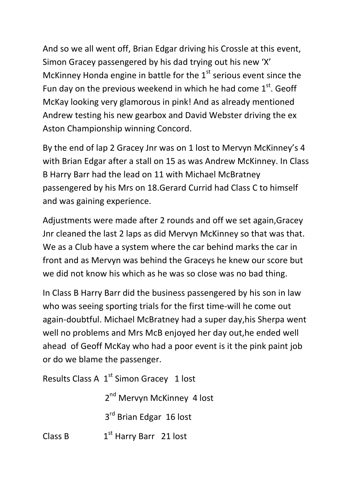And so we all went off, Brian Edgar driving his Crossle at this event, Simon Gracey passengered by his dad trying out his new 'X' McKinney Honda engine in battle for the  $1<sup>st</sup>$  serious event since the Fun day on the previous weekend in which he had come  $1<sup>st</sup>$ . Geoff McKay looking very glamorous in pink! And as already mentioned Andrew testing his new gearbox and David Webster driving the ex Aston Championship winning Concord.

By the end of lap 2 Gracey Jnr was on 1 lost to Mervyn McKinney's 4 with Brian Edgar after a stall on 15 as was Andrew McKinney. In Class B Harry Barr had the lead on 11 with Michael McBratney passengered by his Mrs on 18.Gerard Currid had Class C to himself and was gaining experience.

Adjustments were made after 2 rounds and off we set again,Gracey Jnr cleaned the last 2 laps as did Mervyn McKinney so that was that. We as a Club have a system where the car behind marks the car in front and as Mervyn was behind the Graceys he knew our score but we did not know his which as he was so close was no bad thing.

In Class B Harry Barr did the business passengered by his son in law who was seeing sporting trials for the first time-will he come out again-doubtful. Michael McBratney had a super day,his Sherpa went well no problems and Mrs McB enjoyed her day out,he ended well ahead of Geoff McKay who had a poor event is it the pink paint job or do we blame the passenger.

Results Class A  $1^{st}$  Simon Gracey 1 lost

 2 2<sup>nd</sup> Mervyn McKinney 4 lost

 3 3<sup>rd</sup> Brian Edgar 16 lost

Class B  $1^{st}$  Harry Barr 21 lost